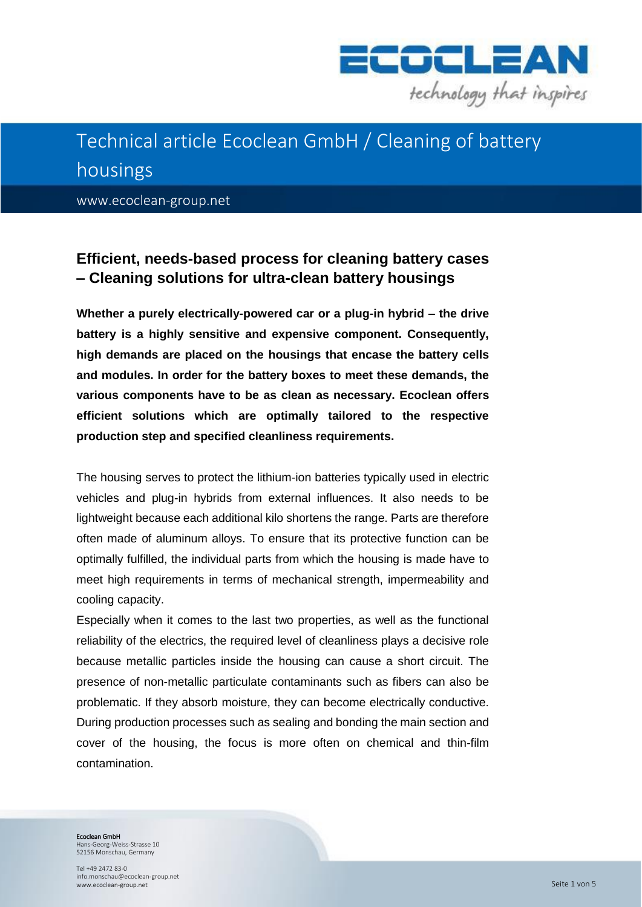

# Technical article Ecoclean GmbH / Cleaning of battery housings

www.ecoclean-group.net

## **Efficient, needs-based process for cleaning battery cases – Cleaning solutions for ultra-clean battery housings**

**Whether a purely electrically-powered car or a plug-in hybrid – the drive battery is a highly sensitive and expensive component. Consequently, high demands are placed on the housings that encase the battery cells and modules. In order for the battery boxes to meet these demands, the various components have to be as clean as necessary. Ecoclean offers efficient solutions which are optimally tailored to the respective production step and specified cleanliness requirements.**

The housing serves to protect the lithium-ion batteries typically used in electric vehicles and plug-in hybrids from external influences. It also needs to be lightweight because each additional kilo shortens the range. Parts are therefore often made of aluminum alloys. To ensure that its protective function can be optimally fulfilled, the individual parts from which the housing is made have to meet high requirements in terms of mechanical strength, impermeability and cooling capacity.

Especially when it comes to the last two properties, as well as the functional reliability of the electrics, the required level of cleanliness plays a decisive role because metallic particles inside the housing can cause a short circuit. The presence of non-metallic particulate contaminants such as fibers can also be problematic. If they absorb moisture, they can become electrically conductive. During production processes such as sealing and bonding the main section and cover of the housing, the focus is more often on chemical and thin-film contamination.

Ecoclean GmbH

Hans-Georg-Weiss-Strasse 10 52156 Monschau, Germany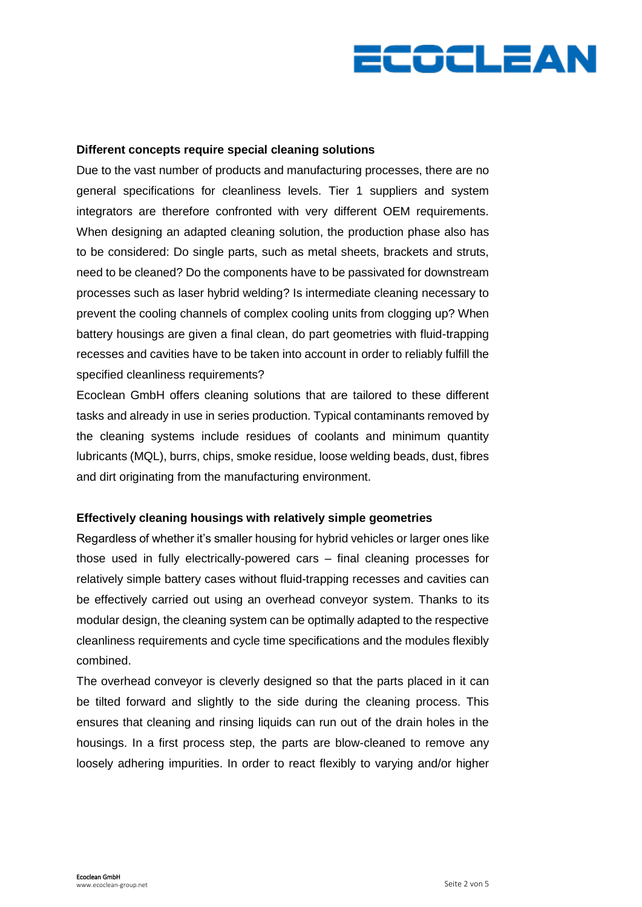

#### **Different concepts require special cleaning solutions**

Due to the vast number of products and manufacturing processes, there are no general specifications for cleanliness levels. Tier 1 suppliers and system integrators are therefore confronted with very different OEM requirements. When designing an adapted cleaning solution, the production phase also has to be considered: Do single parts, such as metal sheets, brackets and struts, need to be cleaned? Do the components have to be passivated for downstream processes such as laser hybrid welding? Is intermediate cleaning necessary to prevent the cooling channels of complex cooling units from clogging up? When battery housings are given a final clean, do part geometries with fluid-trapping recesses and cavities have to be taken into account in order to reliably fulfill the specified cleanliness requirements?

Ecoclean GmbH offers cleaning solutions that are tailored to these different tasks and already in use in series production. Typical contaminants removed by the cleaning systems include residues of coolants and minimum quantity lubricants (MQL), burrs, chips, smoke residue, loose welding beads, dust, fibres and dirt originating from the manufacturing environment.

#### **Effectively cleaning housings with relatively simple geometries**

Regardless of whether it's smaller housing for hybrid vehicles or larger ones like those used in fully electrically-powered cars – final cleaning processes for relatively simple battery cases without fluid-trapping recesses and cavities can be effectively carried out using an overhead conveyor system. Thanks to its modular design, the cleaning system can be optimally adapted to the respective cleanliness requirements and cycle time specifications and the modules flexibly combined.

The overhead conveyor is cleverly designed so that the parts placed in it can be tilted forward and slightly to the side during the cleaning process. This ensures that cleaning and rinsing liquids can run out of the drain holes in the housings. In a first process step, the parts are blow-cleaned to remove any loosely adhering impurities. In order to react flexibly to varying and/or higher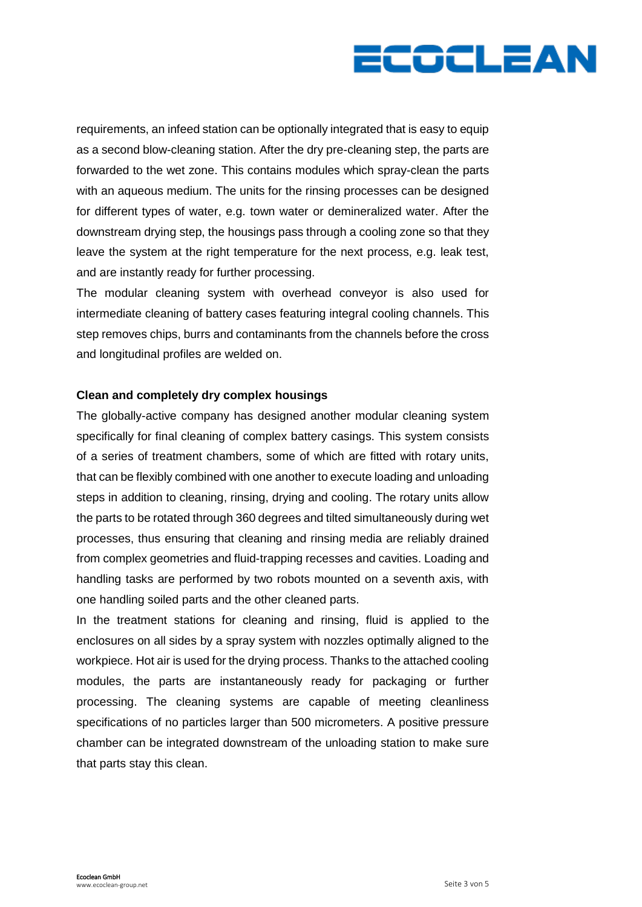

requirements, an infeed station can be optionally integrated that is easy to equip as a second blow-cleaning station. After the dry pre-cleaning step, the parts are forwarded to the wet zone. This contains modules which spray-clean the parts with an aqueous medium. The units for the rinsing processes can be designed for different types of water, e.g. town water or demineralized water. After the downstream drying step, the housings pass through a cooling zone so that they leave the system at the right temperature for the next process, e.g. leak test, and are instantly ready for further processing.

The modular cleaning system with overhead conveyor is also used for intermediate cleaning of battery cases featuring integral cooling channels. This step removes chips, burrs and contaminants from the channels before the cross and longitudinal profiles are welded on.

#### **Clean and completely dry complex housings**

The globally-active company has designed another modular cleaning system specifically for final cleaning of complex battery casings. This system consists of a series of treatment chambers, some of which are fitted with rotary units, that can be flexibly combined with one another to execute loading and unloading steps in addition to cleaning, rinsing, drying and cooling. The rotary units allow the parts to be rotated through 360 degrees and tilted simultaneously during wet processes, thus ensuring that cleaning and rinsing media are reliably drained from complex geometries and fluid-trapping recesses and cavities. Loading and handling tasks are performed by two robots mounted on a seventh axis, with one handling soiled parts and the other cleaned parts.

In the treatment stations for cleaning and rinsing, fluid is applied to the enclosures on all sides by a spray system with nozzles optimally aligned to the workpiece. Hot air is used for the drying process. Thanks to the attached cooling modules, the parts are instantaneously ready for packaging or further processing. The cleaning systems are capable of meeting cleanliness specifications of no particles larger than 500 micrometers. A positive pressure chamber can be integrated downstream of the unloading station to make sure that parts stay this clean.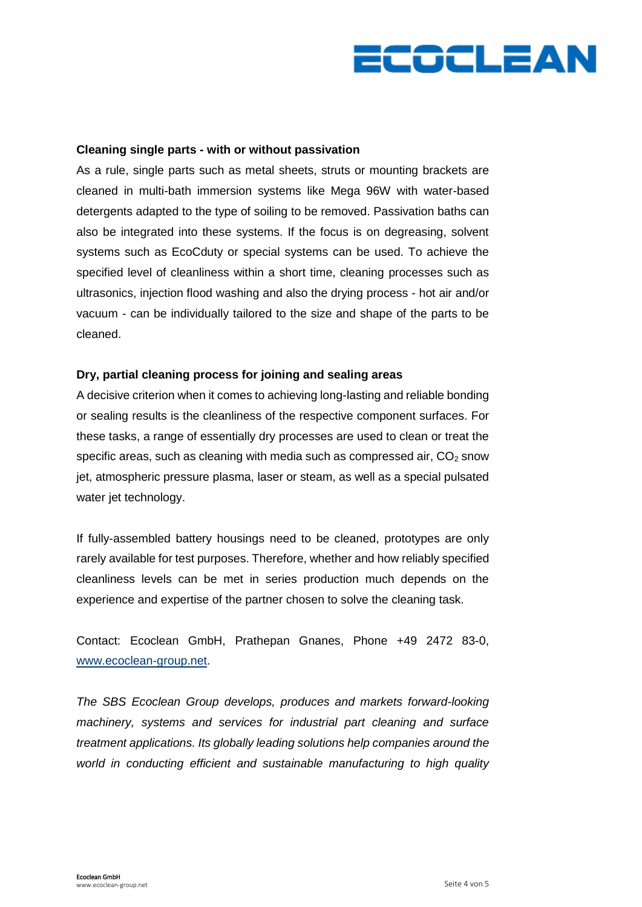

#### **Cleaning single parts - with or without passivation**

As a rule, single parts such as metal sheets, struts or mounting brackets are cleaned in multi-bath immersion systems like Mega 96W with water-based detergents adapted to the type of soiling to be removed. Passivation baths can also be integrated into these systems. If the focus is on degreasing, solvent systems such as EcoCduty or special systems can be used. To achieve the specified level of cleanliness within a short time, cleaning processes such as ultrasonics, injection flood washing and also the drying process - hot air and/or vacuum - can be individually tailored to the size and shape of the parts to be cleaned.

#### **Dry, partial cleaning process for joining and sealing areas**

A decisive criterion when it comes to achieving long-lasting and reliable bonding or sealing results is the cleanliness of the respective component surfaces. For these tasks, a range of essentially dry processes are used to clean or treat the specific areas, such as cleaning with media such as compressed air,  $CO<sub>2</sub>$  snow jet, atmospheric pressure plasma, laser or steam, as well as a special pulsated water jet technology.

If fully-assembled battery housings need to be cleaned, prototypes are only rarely available for test purposes. Therefore, whether and how reliably specified cleanliness levels can be met in series production much depends on the experience and expertise of the partner chosen to solve the cleaning task.

Contact: Ecoclean GmbH, Prathepan Gnanes, Phone +49 2472 83-0, [www.ecoclean-group.net.](http://www.ecoclean-group.net/)

*The SBS Ecoclean Group develops, produces and markets forward-looking machinery, systems and services for industrial part cleaning and surface treatment applications. Its globally leading solutions help companies around the world in conducting efficient and sustainable manufacturing to high quality*